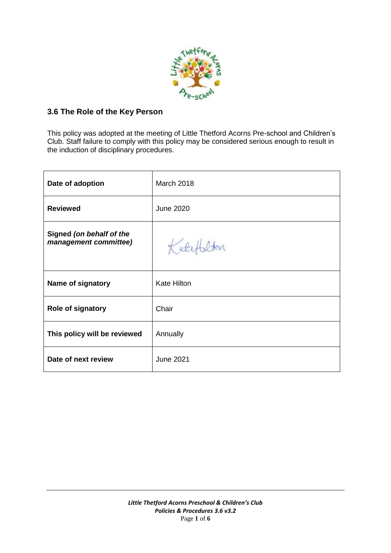

## **3.6 The Role of the Key Person**

This policy was adopted at the meeting of Little Thetford Acorns Pre-school and Children's Club. Staff failure to comply with this policy may be considered serious enough to result in the induction of disciplinary procedures.

| Date of adoption                                  | March 2018         |
|---------------------------------------------------|--------------------|
| <b>Reviewed</b>                                   | <b>June 2020</b>   |
| Signed (on behalf of the<br>management committee) |                    |
| Name of signatory                                 | <b>Kate Hilton</b> |
| <b>Role of signatory</b>                          | Chair              |
| This policy will be reviewed                      | Annually           |
| Date of next review                               | <b>June 2021</b>   |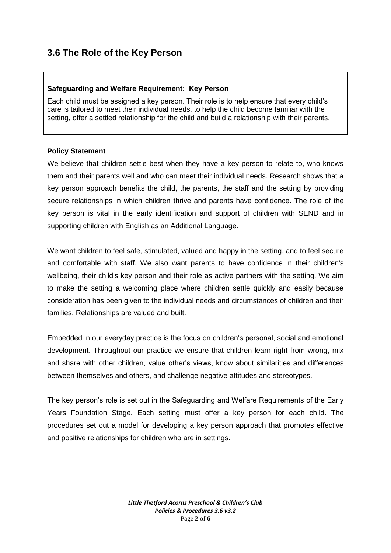# **3.6 The Role of the Key Person**

#### **Safeguarding and Welfare Requirement: Key Person**

Each child must be assigned a key person. Their role is to help ensure that every child's care is tailored to meet their individual needs, to help the child become familiar with the setting, offer a settled relationship for the child and build a relationship with their parents.

#### **Policy Statement**

We believe that children settle best when they have a key person to relate to, who knows them and their parents well and who can meet their individual needs. Research shows that a key person approach benefits the child, the parents, the staff and the setting by providing secure relationships in which children thrive and parents have confidence. The role of the key person is vital in the early identification and support of children with SEND and in supporting children with English as an Additional Language.

We want children to feel safe, stimulated, valued and happy in the setting, and to feel secure and comfortable with staff. We also want parents to have confidence in their children's wellbeing, their child's key person and their role as active partners with the setting. We aim to make the setting a welcoming place where children settle quickly and easily because consideration has been given to the individual needs and circumstances of children and their families. Relationships are valued and built.

Embedded in our everyday practice is the focus on children's personal, social and emotional development. Throughout our practice we ensure that children learn right from wrong, mix and share with other children, value other's views, know about similarities and differences between themselves and others, and challenge negative attitudes and stereotypes.

The key person's role is set out in the Safeguarding and Welfare Requirements of the Early Years Foundation Stage. Each setting must offer a key person for each child. The procedures set out a model for developing a key person approach that promotes effective and positive relationships for children who are in settings.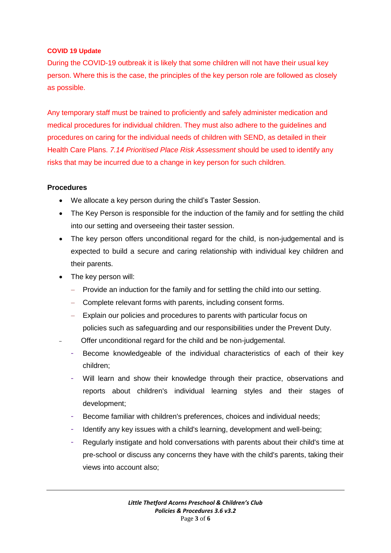#### **COVID 19 Update**

During the COVID-19 outbreak it is likely that some children will not have their usual key person. Where this is the case, the principles of the key person role are followed as closely as possible.

Any temporary staff must be trained to proficiently and safely administer medication and medical procedures for individual children. They must also adhere to the guidelines and procedures on caring for the individual needs of children with SEND, as detailed in their Health Care Plans. *7.14 Prioritised Place Risk Assessment* should be used to identify any risks that may be incurred due to a change in key person for such children.

#### **Procedures**

- We allocate a key person during the child's Taster Session.
- The Key Person is responsible for the induction of the family and for settling the child into our setting and overseeing their taster session.
- The key person offers unconditional regard for the child, is non-judgemental and is expected to build a secure and caring relationship with individual key children and their parents.
- The key person will:
	- Provide an induction for the family and for settling the child into our setting.
	- Complete relevant forms with parents, including consent forms.
	- Explain our policies and procedures to parents with particular focus on policies such as safeguarding and our responsibilities under the Prevent Duty.
- ‒ Offer unconditional regard for the child and be non-judgemental.
	- Become knowledgeable of the individual characteristics of each of their key children;
	- Will learn and show their knowledge through their practice, observations and reports about children's individual learning styles and their stages of development;
	- Become familiar with children's preferences, choices and individual needs;
	- Identify any key issues with a child's learning, development and well-being;
	- Regularly instigate and hold conversations with parents about their child's time at pre-school or discuss any concerns they have with the child's parents, taking their views into account also;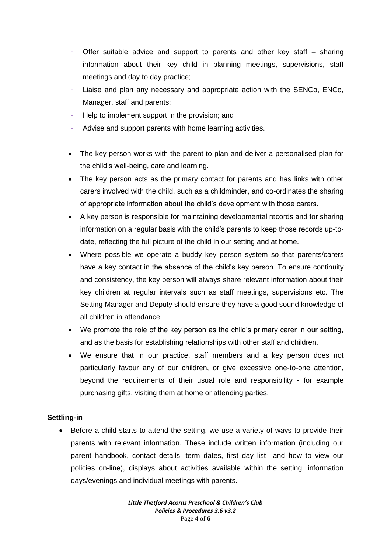- Offer suitable advice and support to parents and other key staff  $-$  sharing information about their key child in planning meetings, supervisions, staff meetings and day to day practice;
- Liaise and plan any necessary and appropriate action with the SENCo, ENCo, Manager, staff and parents;
- Help to implement support in the provision; and
- Advise and support parents with home learning activities.
- The key person works with the parent to plan and deliver a personalised plan for the child's well-being, care and learning.
- The key person acts as the primary contact for parents and has links with other carers involved with the child, such as a childminder, and co-ordinates the sharing of appropriate information about the child's development with those carers.
- A key person is responsible for maintaining developmental records and for sharing information on a regular basis with the child's parents to keep those records up-todate, reflecting the full picture of the child in our setting and at home.
- Where possible we operate a buddy key person system so that parents/carers have a key contact in the absence of the child's key person. To ensure continuity and consistency, the key person will always share relevant information about their key children at regular intervals such as staff meetings, supervisions etc. The Setting Manager and Deputy should ensure they have a good sound knowledge of all children in attendance.
- We promote the role of the key person as the child's primary carer in our setting, and as the basis for establishing relationships with other staff and children.
- We ensure that in our practice, staff members and a key person does not particularly favour any of our children, or give excessive one-to-one attention, beyond the requirements of their usual role and responsibility - for example purchasing gifts, visiting them at home or attending parties.

### **Settling-in**

 Before a child starts to attend the setting, we use a variety of ways to provide their parents with relevant information. These include written information (including our parent handbook, contact details, term dates, first day list and how to view our policies on-line), displays about activities available within the setting, information days/evenings and individual meetings with parents.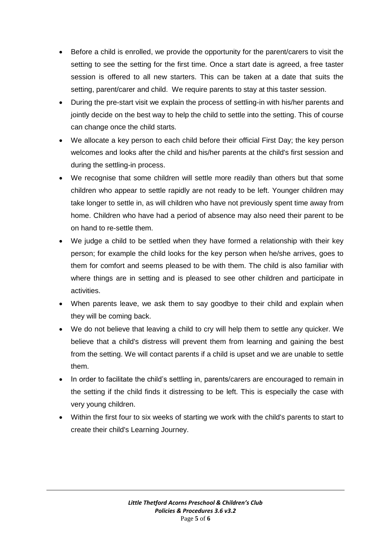- Before a child is enrolled, we provide the opportunity for the parent/carers to visit the setting to see the setting for the first time. Once a start date is agreed, a free taster session is offered to all new starters. This can be taken at a date that suits the setting, parent/carer and child. We require parents to stay at this taster session.
- During the pre-start visit we explain the process of settling-in with his/her parents and jointly decide on the best way to help the child to settle into the setting. This of course can change once the child starts.
- We allocate a key person to each child before their official First Day; the key person welcomes and looks after the child and his/her parents at the child's first session and during the settling-in process.
- We recognise that some children will settle more readily than others but that some children who appear to settle rapidly are not ready to be left. Younger children may take longer to settle in, as will children who have not previously spent time away from home. Children who have had a period of absence may also need their parent to be on hand to re-settle them.
- We judge a child to be settled when they have formed a relationship with their key person; for example the child looks for the key person when he/she arrives, goes to them for comfort and seems pleased to be with them. The child is also familiar with where things are in setting and is pleased to see other children and participate in activities.
- When parents leave, we ask them to say goodbye to their child and explain when they will be coming back.
- We do not believe that leaving a child to cry will help them to settle any quicker. We believe that a child's distress will prevent them from learning and gaining the best from the setting. We will contact parents if a child is upset and we are unable to settle them.
- In order to facilitate the child's settling in, parents/carers are encouraged to remain in the setting if the child finds it distressing to be left. This is especially the case with very young children.
- Within the first four to six weeks of starting we work with the child's parents to start to create their child's Learning Journey.